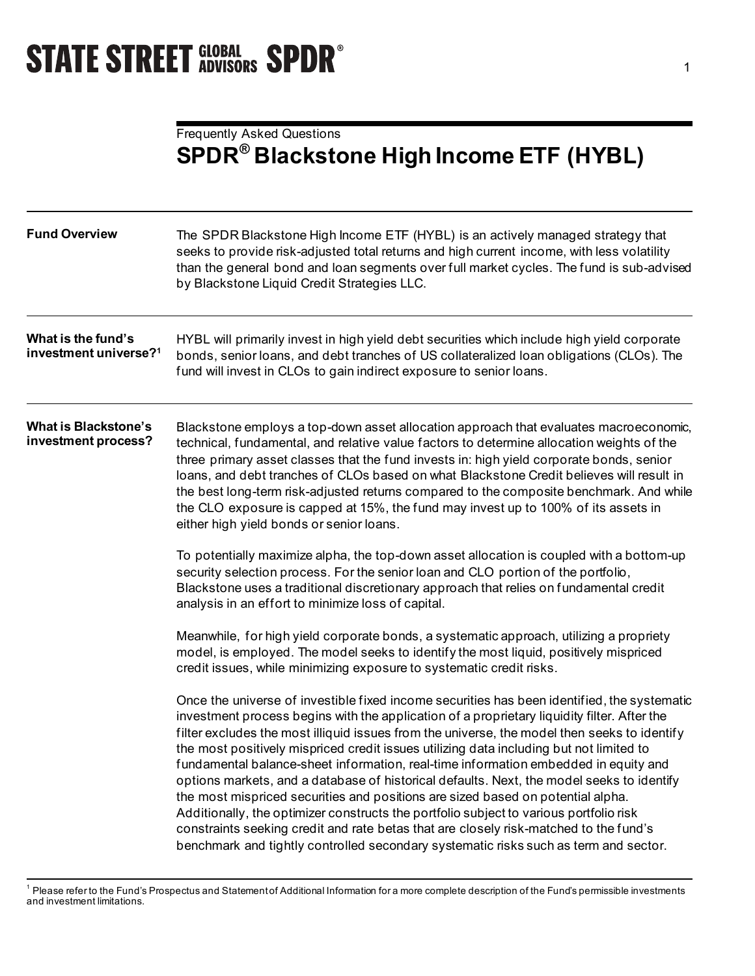# **STATE STREET GLOBAL SPDR<sup>®</sup>**

## Frequently Asked Questions **SPDR® Blackstone High Income ETF (HYBL)**

| <b>Fund Overview</b>                                    | The SPDR Blackstone High Income ETF (HYBL) is an actively managed strategy that<br>seeks to provide risk-adjusted total returns and high current income, with less volatility<br>than the general bond and loan segments over full market cycles. The fund is sub-advised<br>by Blackstone Liquid Credit Strategies LLC.                                                                                                                                                                                                                                                                                                                                                                                                                                                                                                                                                                                                                |  |  |
|---------------------------------------------------------|-----------------------------------------------------------------------------------------------------------------------------------------------------------------------------------------------------------------------------------------------------------------------------------------------------------------------------------------------------------------------------------------------------------------------------------------------------------------------------------------------------------------------------------------------------------------------------------------------------------------------------------------------------------------------------------------------------------------------------------------------------------------------------------------------------------------------------------------------------------------------------------------------------------------------------------------|--|--|
| What is the fund's<br>investment universe? <sup>1</sup> | HYBL will primarily invest in high yield debt securities which include high yield corporate<br>bonds, senior loans, and debt tranches of US collateralized loan obligations (CLOs). The<br>fund will invest in CLOs to gain indirect exposure to senior loans.                                                                                                                                                                                                                                                                                                                                                                                                                                                                                                                                                                                                                                                                          |  |  |
| <b>What is Blackstone's</b><br>investment process?      | Blackstone employs a top-down asset allocation approach that evaluates macroeconomic,<br>technical, fundamental, and relative value factors to determine allocation weights of the<br>three primary asset classes that the fund invests in: high yield corporate bonds, senior<br>loans, and debt tranches of CLOs based on what Blackstone Credit believes will result in<br>the best long-term risk-adjusted returns compared to the composite benchmark. And while<br>the CLO exposure is capped at 15%, the fund may invest up to 100% of its assets in<br>either high yield bonds or senior loans.                                                                                                                                                                                                                                                                                                                                 |  |  |
|                                                         | To potentially maximize alpha, the top-down asset allocation is coupled with a bottom-up<br>security selection process. For the senior loan and CLO portion of the portfolio,<br>Blackstone uses a traditional discretionary approach that relies on fundamental credit<br>analysis in an effort to minimize loss of capital.                                                                                                                                                                                                                                                                                                                                                                                                                                                                                                                                                                                                           |  |  |
|                                                         | Meanwhile, for high yield corporate bonds, a systematic approach, utilizing a propriety<br>model, is employed. The model seeks to identify the most liquid, positively mispriced<br>credit issues, while minimizing exposure to systematic credit risks.                                                                                                                                                                                                                                                                                                                                                                                                                                                                                                                                                                                                                                                                                |  |  |
|                                                         | Once the universe of investible fixed income securities has been identified, the systematic<br>investment process begins with the application of a proprietary liquidity filter. After the<br>filter excludes the most illiquid issues from the universe, the model then seeks to identify<br>the most positively mispriced credit issues utilizing data including but not limited to<br>fundamental balance-sheet information, real-time information embedded in equity and<br>options markets, and a database of historical defaults. Next, the model seeks to identify<br>the most mispriced securities and positions are sized based on potential alpha.<br>Additionally, the optimizer constructs the portfolio subject to various portfolio risk<br>constraints seeking credit and rate betas that are closely risk-matched to the fund's<br>benchmark and tightly controlled secondary systematic risks such as term and sector. |  |  |

<span id="page-0-0"></span><sup>&</sup>lt;sup>1</sup> Please refer to the Fund's Prospectus and Statement of Additional Information for a more complete description of the Fund's permissible investments and investment limitations.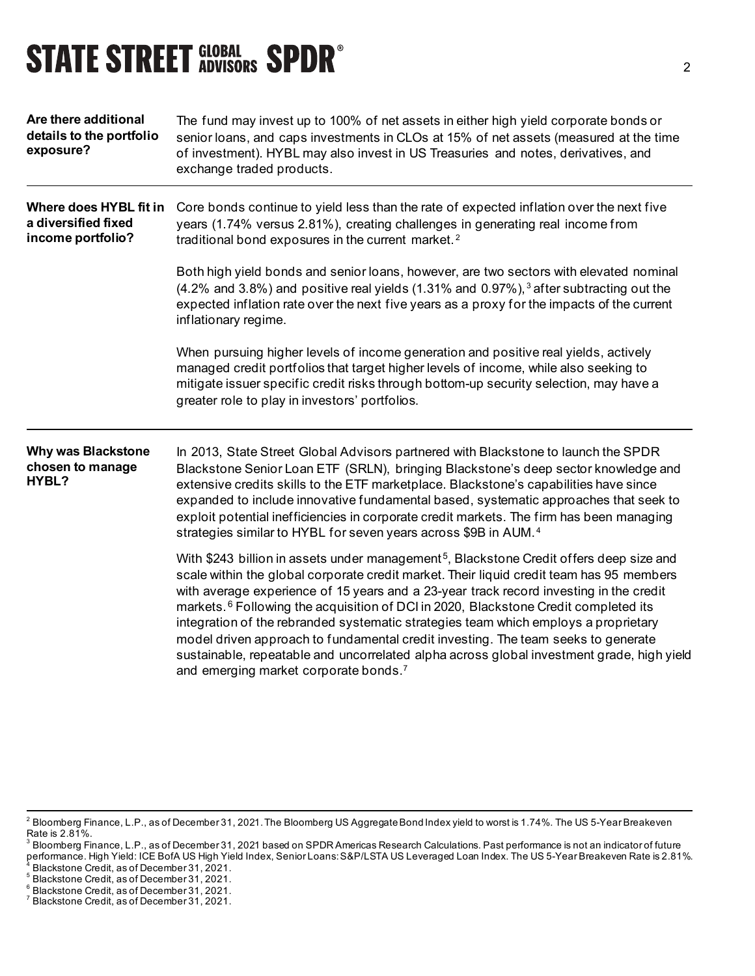# **STATE STREET GLOBAL SPDR<sup>®</sup>**

| Are there additional<br>details to the portfolio<br>exposure?      | The fund may invest up to 100% of net assets in either high yield corporate bonds or<br>senior loans, and caps investments in CLOs at 15% of net assets (measured at the time<br>of investment). HYBL may also invest in US Treasuries and notes, derivatives, and<br>exchange traded products.                                                                                                                                                                                                                                                                                                                                                                                                                            |  |  |
|--------------------------------------------------------------------|----------------------------------------------------------------------------------------------------------------------------------------------------------------------------------------------------------------------------------------------------------------------------------------------------------------------------------------------------------------------------------------------------------------------------------------------------------------------------------------------------------------------------------------------------------------------------------------------------------------------------------------------------------------------------------------------------------------------------|--|--|
| Where does HYBL fit in<br>a diversified fixed<br>income portfolio? | Core bonds continue to yield less than the rate of expected inflation over the next five<br>years (1.74% versus 2.81%), creating challenges in generating real income from<br>traditional bond exposures in the current market. <sup>2</sup>                                                                                                                                                                                                                                                                                                                                                                                                                                                                               |  |  |
|                                                                    | Both high yield bonds and senior loans, however, are two sectors with elevated nominal<br>$(4.2\%$ and 3.8%) and positive real yields $(1.31\%$ and 0.97%), 3 after subtracting out the<br>expected inflation rate over the next five years as a proxy for the impacts of the current<br>inflationary regime.                                                                                                                                                                                                                                                                                                                                                                                                              |  |  |
|                                                                    | When pursuing higher levels of income generation and positive real yields, actively<br>managed credit portfolios that target higher levels of income, while also seeking to<br>mitigate issuer specific credit risks through bottom-up security selection, may have a<br>greater role to play in investors' portfolios.                                                                                                                                                                                                                                                                                                                                                                                                    |  |  |
| <b>Why was Blackstone</b><br>chosen to manage<br>HYBL?             | In 2013, State Street Global Advisors partnered with Blackstone to launch the SPDR<br>Blackstone Senior Loan ETF (SRLN), bringing Blackstone's deep sector knowledge and<br>extensive credits skills to the ETF marketplace. Blackstone's capabilities have since<br>expanded to include innovative fundamental based, systematic approaches that seek to<br>exploit potential inefficiencies in corporate credit markets. The firm has been managing<br>strategies similar to HYBL for seven years across \$9B in AUM. <sup>4</sup>                                                                                                                                                                                       |  |  |
|                                                                    | With \$243 billion in assets under management <sup>5</sup> , Blackstone Credit offers deep size and<br>scale within the global corporate credit market. Their liquid credit team has 95 members<br>with average experience of 15 years and a 23-year track record investing in the credit<br>markets. <sup>6</sup> Following the acquisition of DCI in 2020, Blackstone Credit completed its<br>integration of the rebranded systematic strategies team which employs a proprietary<br>model driven approach to fundamental credit investing. The team seeks to generate<br>sustainable, repeatable and uncorrelated alpha across global investment grade, high yield<br>and emerging market corporate bonds. <sup>7</sup> |  |  |

<span id="page-1-0"></span> $^2$  Bloomberg Finance, L.P., as of December 31, 2021. The Bloomberg US Aggregate Bond Index yield to worst is 1.74%. The US 5-Year Breakeven Rate is 2.81%.

<span id="page-1-1"></span> $^{\rm 3}$  Bloomberg Finance, L.P., as of December 31, 2021 based on SPDR Americas Research Calculations. Past performance is not an indicator of future performance. High Yield: ICE BofA US High Yield Index, Senior Loans: S&P/LSTA US Leveraged Loan Index. The US 5-Year Breakeven Rate is 2.81%.  $\frac{1}{4}$  Blackstone Credit, as of December 31, 2021.

<span id="page-1-3"></span><span id="page-1-2"></span><sup>5</sup> Blackstone Credit, as of December 31, 2021.

<span id="page-1-4"></span><sup>&</sup>lt;sup>6</sup> Blackstone Credit, as of December 31, 2021.

<span id="page-1-5"></span><sup>7</sup> Blackstone Credit, as of December 31, 2021.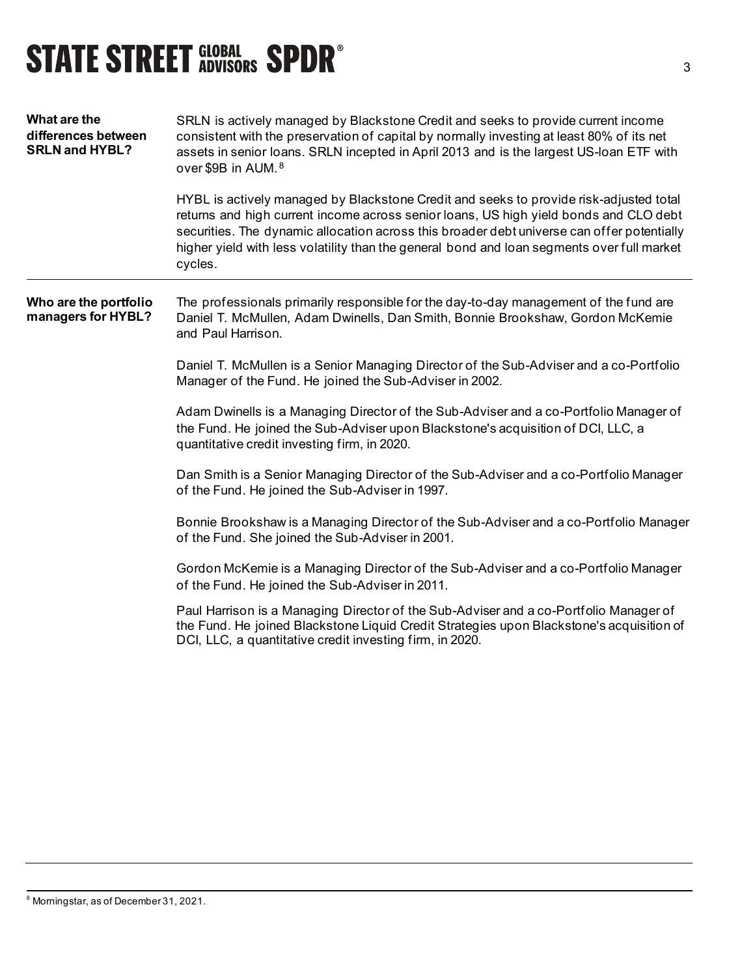# **STATE STREET GLOBAL SPDR®**

| What are the<br>differences between<br><b>SRLN and HYBL?</b> | SRLN is actively managed by Blackstone Credit and seeks to provide current income<br>consistent with the preservation of capital by normally investing at least 80% of its net<br>assets in senior loans. SRLN incepted in April 2013 and is the largest US-loan ETF with<br>over \$9B in AUM. <sup>8</sup>                                                                            |  |
|--------------------------------------------------------------|----------------------------------------------------------------------------------------------------------------------------------------------------------------------------------------------------------------------------------------------------------------------------------------------------------------------------------------------------------------------------------------|--|
|                                                              | HYBL is actively managed by Blackstone Credit and seeks to provide risk-adjusted total<br>returns and high current income across senior loans, US high yield bonds and CLO debt<br>securities. The dynamic allocation across this broader debt universe can offer potentially<br>higher yield with less volatility than the general bond and loan segments over full market<br>cycles. |  |
| Who are the portfolio<br>managers for HYBL?                  | The professionals primarily responsible for the day-to-day management of the fund are<br>Daniel T. McMullen, Adam Dwinells, Dan Smith, Bonnie Brookshaw, Gordon McKemie<br>and Paul Harrison.                                                                                                                                                                                          |  |
|                                                              | Daniel T. McMullen is a Senior Managing Director of the Sub-Adviser and a co-Portfolio<br>Manager of the Fund. He joined the Sub-Adviser in 2002.                                                                                                                                                                                                                                      |  |
|                                                              | Adam Dwinells is a Managing Director of the Sub-Adviser and a co-Portfolio Manager of<br>the Fund. He joined the Sub-Adviser upon Blackstone's acquisition of DCI, LLC, a<br>quantitative credit investing firm, in 2020.                                                                                                                                                              |  |
|                                                              | Dan Smith is a Senior Managing Director of the Sub-Adviser and a co-Portfolio Manager<br>of the Fund. He joined the Sub-Adviser in 1997.                                                                                                                                                                                                                                               |  |
|                                                              | Bonnie Brookshaw is a Managing Director of the Sub-Adviser and a co-Portfolio Manager<br>of the Fund. She joined the Sub-Adviser in 2001.                                                                                                                                                                                                                                              |  |
|                                                              | Gordon McKemie is a Managing Director of the Sub-Adviser and a co-Portfolio Manager<br>of the Fund. He joined the Sub-Adviser in 2011.                                                                                                                                                                                                                                                 |  |
|                                                              | Paul Harrison is a Managing Director of the Sub-Adviser and a co-Portfolio Manager of<br>the Fund. He joined Blackstone Liquid Credit Strategies upon Blackstone's acquisition of<br>DCI, LLC, a quantitative credit investing firm, in 2020.                                                                                                                                          |  |

<span id="page-2-0"></span><sup>8</sup> Morningstar, as of December 31, 2021.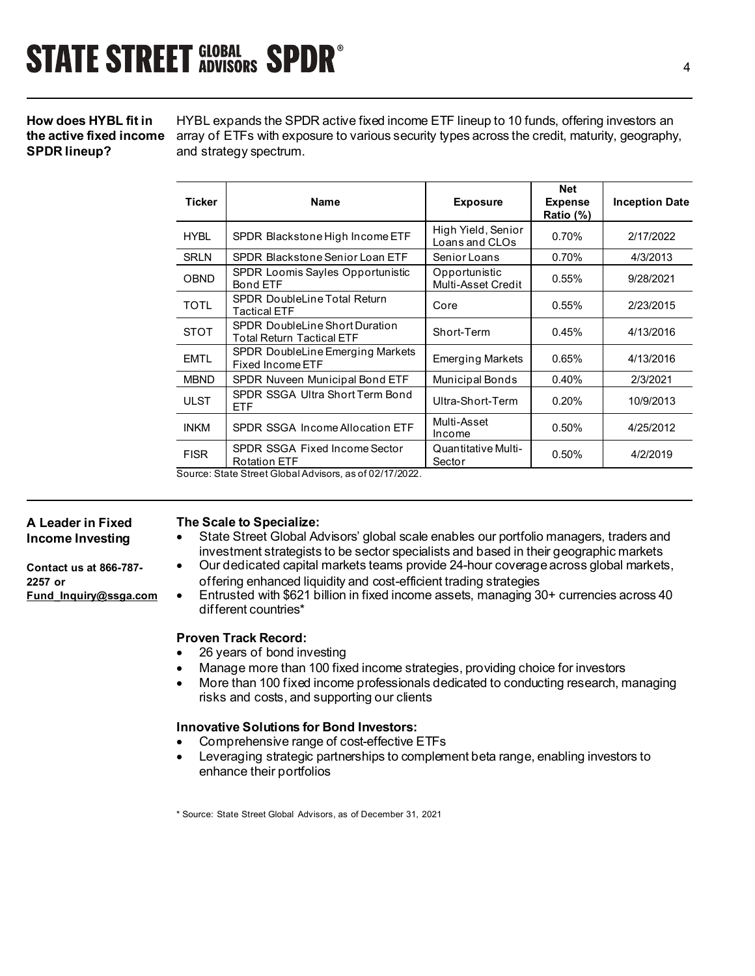## **How does HYBL fit in SPDR lineup?**

**the active fixed income** array of ETFs with exposure to various security types across the credit, maturity, geography, HYBL expands the SPDR active fixed income ETF lineup to 10 funds, offering investors an and strategy spectrum.

| <b>Ticker</b>                                         | Name                                                        | <b>Exposure</b>                      | <b>Net</b><br><b>Expense</b><br>Ratio (%) | <b>Inception Date</b> |  |
|-------------------------------------------------------|-------------------------------------------------------------|--------------------------------------|-------------------------------------------|-----------------------|--|
| <b>HYBL</b>                                           | SPDR Blackstone High Income ETF                             | High Yield, Senior<br>Loans and CLOs | 0.70%                                     | 2/17/2022             |  |
| <b>SRLN</b>                                           | SPDR Blackstone Senior Loan ETF                             | Senior Loans                         | 0.70%                                     | 4/3/2013              |  |
| OBND                                                  | SPDR Loomis Sayles Opportunistic<br><b>Bond ETF</b>         | Opportunistic<br>Multi-Asset Credit  | 0.55%                                     | 9/28/2021             |  |
| <b>TOTL</b>                                           | <b>SPDR DoubleLine Total Return</b><br>Tactical ETF         | Core                                 | 0.55%                                     | 2/23/2015             |  |
| <b>STOT</b>                                           | SPDR DoubleLine Short Duration<br>Total Return Tactical ETF | Short-Term                           | 0.45%                                     | 4/13/2016             |  |
| <b>EMTL</b>                                           | SPDR DoubleLine Emerging Markets<br><b>Fixed Income ETF</b> | <b>Emerging Markets</b>              | 0.65%                                     | 4/13/2016             |  |
| <b>MBND</b>                                           | SPDR Nuveen Municipal Bond ETF                              | <b>Municipal Bonds</b>               | 0.40%                                     | 2/3/2021              |  |
| <b>ULST</b>                                           | SPDR SSGA Ultra Short Term Bond<br>ETF                      | Ultra-Short-Term                     | 0.20%                                     | 10/9/2013             |  |
| <b>INKM</b>                                           | SPDR SSGA Income Allocation ETF                             | Multi-Asset<br>Income                | 0.50%                                     | 4/25/2012             |  |
| <b>FISR</b>                                           | SPDR SSGA Fixed Income Sector<br><b>Rotation ETF</b>        | Quantitative Multi-<br>Sector        | 0.50%                                     | 4/2/2019              |  |
| Source: State Street Clabel Advisore as of 02/17/2022 |                                                             |                                      |                                           |                       |  |

Source: State Street Global Advisors, as of 02/17/2022.

#### **A Leader in Fixed Income Investing**

**Contact us at 866-787- 2257 or [Fund\\_Inquiry@ssga.com](mailto:fund_inquiry@ssga.com)**

### **The Scale to Specialize:**

- State Street Global Advisors' global scale enables our portfolio managers, traders and investment strategists to be sector specialists and based in their geographic markets
- Our dedicated capital markets teams provide 24-hour coverage across global markets, offering enhanced liquidity and cost-efficient trading strategies
- Entrusted with \$621 billion in fixed income assets, managing 30+ currencies across 40 different countries\*

### **Proven Track Record:**

- 26 years of bond investing
- Manage more than 100 fixed income strategies, providing choice for investors
- More than 100 fixed income professionals dedicated to conducting research, managing risks and costs, and supporting our clients

### **Innovative Solutions for Bond Investors:**

- Comprehensive range of cost-effective ETFs
- Leveraging strategic partnerships to complement beta range, enabling investors to enhance their portfolios

\* Source: State Street Global Advisors, as of December 31, 2021